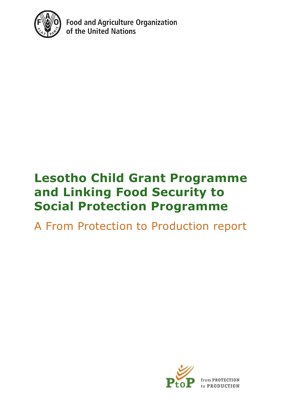

**Food and Agriculture Organization** of the United Nations

## **Lesotho Child Grant Programme and Linking Food Security to Social Protection Programme**

A From Protection to Production report



rom PROTECTION to PRODUCTION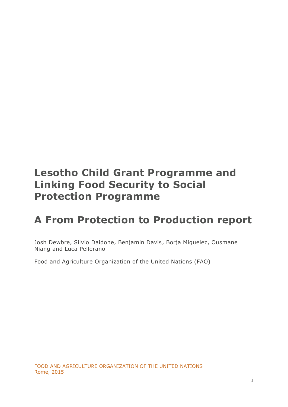## **Lesotho Child Grant Programme and Linking Food Security to Social Protection Programme**

## **A From Protection to Production report**

Josh Dewbre, Silvio Daidone, Benjamin Davis, Borja Miguelez, Ousmane Niang and Luca Pellerano

Food and Agriculture Organization of the United Nations (FAO)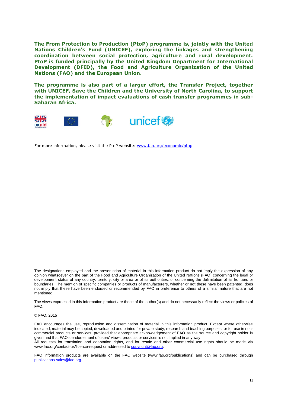**The From Protection to Production (PtoP) programme is, jointly with the United Nations Children's Fund (UNICEF), exploring the linkages and strengthening coordination between social protection, agriculture and rural development. PtoP is funded principally by the United Kingdom Department for International Development (DFID), the Food and Agriculture Organization of the United Nations (FAO) and the European Union.** 

**The programme is also part of a larger effort, the Transfer Project, together with UNICEF, Save the Children and the University of North Carolina, to support the implementation of impact evaluations of cash transfer programmes in sub-Saharan Africa.**



For more information, please visit the PtoP website: [www.fao.org/economic/ptop](http://www.fao.org/economic/ptop)

The designations employed and the presentation of material in this information product do not imply the expression of any opinion whatsoever on the part of the Food and Agriculture Organization of the United Nations (FAO) concerning the legal or development status of any country, territory, city or area or of its authorities, or concerning the delimitation of its frontiers or boundaries. The mention of specific companies or products of manufacturers, whether or not these have been patented, does not imply that these have been endorsed or recommended by FAO in preference to others of a similar nature that are not mentioned.

The views expressed in this information product are those of the author(s) and do not necessarily reflect the views or policies of FAO.

#### © FAO, 2015

[publications-sales@fao.org.](mailto:publications-sales@fao.org)

FAO encourages the use, reproduction and dissemination of material in this information product. Except where otherwise indicated, material may be copied, downloaded and printed for private study, research and teaching purposes, or for use in noncommercial products or services, provided that appropriate acknowledgement of FAO as the source and copyright holder is given and that FAO's endorsement of users' views, products or services is not implied in any way. All requests for translation and adaptation rights, and for resale and other commercial use rights should be made via

www.fao.org/contact-us/licence-request or addressed to [copyright@fao.org.](mailto:copyright@fao.org) FAO information products are available on the FAO website (www.fao.org/publications) and can be purchased through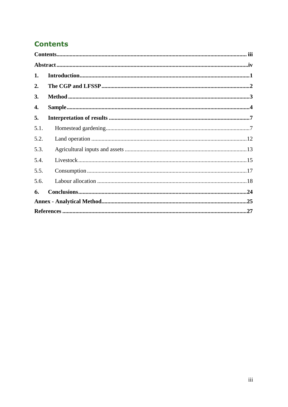## <span id="page-3-0"></span>**Contents**

| 1.   |  |  |  |  |  |  |
|------|--|--|--|--|--|--|
| 2.   |  |  |  |  |  |  |
| 3.   |  |  |  |  |  |  |
| 4.   |  |  |  |  |  |  |
| 5.   |  |  |  |  |  |  |
| 5.1. |  |  |  |  |  |  |
| 5.2. |  |  |  |  |  |  |
| 5.3. |  |  |  |  |  |  |
| 5.4. |  |  |  |  |  |  |
| 5.5. |  |  |  |  |  |  |
| 5.6. |  |  |  |  |  |  |
| 6.   |  |  |  |  |  |  |
|      |  |  |  |  |  |  |
|      |  |  |  |  |  |  |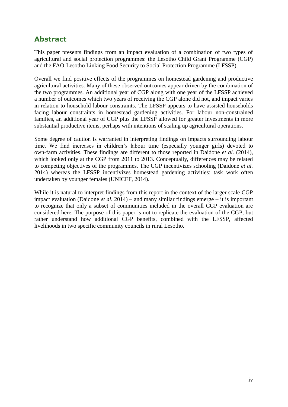## <span id="page-4-0"></span>**Abstract**

This paper presents findings from an impact evaluation of a combination of two types of agricultural and social protection programmes: the Lesotho Child Grant Programme (CGP) and the FAO-Lesotho Linking Food Security to Social Protection Programme (LFSSP).

Overall we find positive effects of the programmes on homestead gardening and productive agricultural activities. Many of these observed outcomes appear driven by the combination of the two programmes. An additional year of CGP along with one year of the LFSSP achieved a number of outcomes which two years of receiving the CGP alone did not, and impact varies in relation to household labour constraints. The LFSSP appears to have assisted households facing labour constraints in homestead gardening activities. For labour non-constrained families, an additional year of CGP plus the LFSSP allowed for greater investments in more substantial productive items, perhaps with intentions of scaling up agricultural operations.

Some degree of caution is warranted in interpreting findings on impacts surrounding labour time. We find increases in children's labour time (especially younger girls) devoted to own-farm activities. These findings are different to those reported in Daidone *et al*. (2014), which looked only at the CGP from 2011 to 2013. Conceptually, differences may be related to competing objectives of the programmes. The CGP incentivizes schooling (Daidone *et al.* 2014) whereas the LFSSP incentivizes homestead gardening activities: task work often undertaken by younger females (UNICEF, 2014).

While it is natural to interpret findings from this report in the context of the larger scale CGP impact evaluation (Daidone *et al.* 2014) – and many similar findings emerge – it is important to recognize that only a subset of communities included in the overall CGP evaluation are considered here. The purpose of this paper is not to replicate the evaluation of the CGP, but rather understand how additional CGP benefits, combined with the LFSSP, affected livelihoods in two specific community councils in rural Lesotho.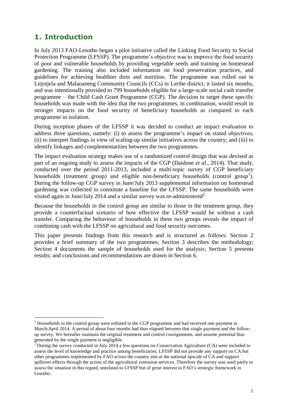## <span id="page-5-0"></span>**1. Introduction**

 $\overline{a}$ 

In July 2013 FAO-Lesotho began a pilot initiative called the Linking Food Security to Social Protection Programme (LFSSP). The programme's objective was to improve the food security of poor and vulnerable households by providing vegetable seeds and training on homestead gardening. The training also included information on food preservation practices, and guidelines for achieving healthier diets and nutrition. The programme was rolled out in Litjotjela and Malaoaneng Community Councils (CCs) in Leribe district; it lasted six months, and was intentionally provided to 799 households eligible for a large-scale social cash transfer programme – the Child Cash Grant Programme (CGP). The decision to target these specific households was made with the idea that the two programmes, in combination, would result in stronger impacts on the food security of beneficiary households as compared to each programme in isolation.

During inception phases of the LFSSP it was decided to conduct an impact evaluation to address three questions, namely: (i) to assess the programme's impact on stated objectives; (ii) to interpret findings in view of scaling-up similar initiatives across the country; and (iii) to identify linkages and complementarities between the two programmes.

The impact evaluation strategy makes use of a randomized control design that was devised as part of an ongoing study to assess the impacts of the CGP (Daidone *et al*., 2014). That study, conducted over the period 2011-2013, included a multi-topic survey of CGP beneficiary households (treatment group) and eligible non-beneficiary households (control group<sup>1</sup>). During the follow-up CGP survey in June/July 2013 supplemental information on homestead gardening was collected to constitute a baseline for the LFSSP. The same households were visited again in June/July 2014 and a similar survey was re-administered<sup>2.</sup>

Because the households in the control group are similar to those in the treatment group, they provide a counterfactual scenario of how effective the LFSSP would be without a cash transfer. Comparing the behaviour of households in these two groups reveals the impact of combining cash with the LFSSP on agricultural and food security outcomes.

This paper presents findings from this research and is structured as follows: Section 2 provides a brief summary of the two programmes; Section 3 describes the methodology; Section 4 documents the sample of households used for the analysis; Section 5 presents results; and conclusions and recommendations are drawn in Section 6.

<sup>&</sup>lt;sup>1</sup> Households in the control group were enlisted in the CGP programme and had received one payment in March/April 2014. A period of about four months had thus elapsed between that single payment and the followup survey. We hereafter maintain the original treatment and control consignments, and assume potential bias generated by the single payment is negligible.

 $^2$  During the survey conducted in July 2014 a few questions on Conservation Agriculture (CA) were included to assess the level of knowledge and practice among beneficiaries. LFSSP did not provide any support on CA but other programmes implemented by FAO across the country aim at the national upscale of CA and support spillover effects through the action of the agricultural extension services. Therefore the survey was used partly to assess the situation in this regard, unrelated to LFSSP but of great interest to FAO's strategic framework in Lesotho.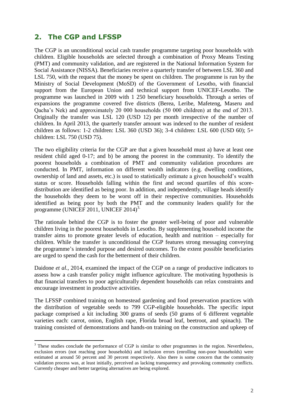## <span id="page-6-0"></span>**2. The CGP and LFSSP**

 $\overline{a}$ 

The CGP is an unconditional social cash transfer programme targeting poor households with children. Eligible households are selected through a combination of Proxy Means Testing (PMT) and community validation, and are registered in the National Information System for Social Assistance (NISSA). Beneficiaries receive a quarterly transfer of between LSL 360 and LSL 750, with the request that the money be spent on children. The programme is run by the Ministry of Social Development (MoSD) of the Government of Lesotho, with financial support from the European Union and technical support from UNICEF-Lesotho. The programme was launched in 2009 with 1 250 beneficiary households. Through a series of expansions the programme covered five districts (Berea, Leribe, Mafeteng, Maseru and Qacha's Nek) and approximately 20 000 households (50 000 children) at the end of 2013. Originally the transfer was LSL 120 (USD 12) per month irrespective of the number of children. In April 2013, the quarterly transfer amount was indexed to the number of resident children as follows: 1-2 children: LSL 360 (USD 36); 3-4 children: LSL 600 (USD 60); 5+ children: LSL 750 (USD 75).

The two eligibility criteria for the CGP are that a given household must a) have at least one resident child aged 0-17; and b) be among the poorest in the community. To identify the poorest households a combination of PMT and community validation procedures are conducted. In PMT, information on different wealth indicators (e.g. dwelling conditions, ownership of land and assets, etc.) is used to statistically estimate a given household's wealth status or score. Households falling within the first and second quartiles of this scoredistribution are identified as being poor. In addition, and independently, village heads identify the households they deem to be worst off in their respective communities. Households identified as being poor by both the PMT and the community leaders qualify for the programme (UNICEF 2011, UNICEF 2014)<sup>3.</sup>

The rationale behind the CGP is to foster the greater well-being of poor and vulnerable children living in the poorest households in Lesotho. By supplementing household income the transfer aims to promote greater levels of education, health and nutrition – especially for children. While the transfer is unconditional the CGP features strong messaging conveying the programme's intended purpose and desired outcomes. To the extent possible beneficiaries are urged to spend the cash for the betterment of their children.

Daidone *et al.*, 2014, examined the impact of the CGP on a range of productive indicators to assess how a cash transfer policy might influence agriculture. The motivating hypothesis is that financial transfers to poor agriculturally dependent households can relax constraints and encourage investment in productive activities.

The LFSSP combined training on homestead gardening and food preservation practices with the distribution of vegetable seeds to 799 CGP-eligible households. The specific input package comprised a kit including 300 grams of seeds (50 grams of 6 different vegetable varieties each: carrot, onion, English rape, Florida broad leaf, beetroot, and spinach). The training consisted of demonstrations and hands-on training on the construction and upkeep of

<sup>&</sup>lt;sup>3</sup> These studies conclude the performance of CGP is similar to other programmes in the region. Nevertheless, exclusion errors (not reaching poor households) and inclusion errors (enrolling non-poor households) were estimated at around 50 percent and 30 percent respectively. Also there is some concern that the community validation process was, at least initially, perceived as lacking transparency and provoking community conflicts. Currently cheaper and better targeting alternatives are being explored.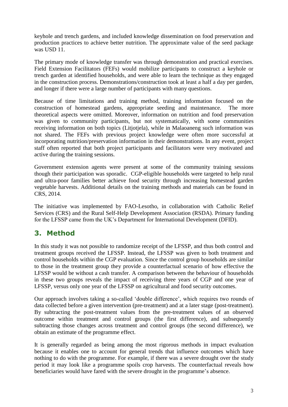keyhole and trench gardens, and included knowledge dissemination on food preservation and production practices to achieve better nutrition. The approximate value of the seed package was USD 11.

The primary mode of knowledge transfer was through demonstration and practical exercises. Field Extension Facilitators (FEFs) would mobilize participants to construct a keyhole or trench garden at identified households, and were able to learn the technique as they engaged in the construction process. Demonstrations/construction took at least a half a day per garden, and longer if there were a large number of participants with many questions.

Because of time limitations and training method, training information focused on the construction of homestead gardens, appropriate seeding and maintenance. The more theoretical aspects were omitted. Moreover, information on nutrition and food preservation was given to community participants, but not systematically, with some communities receiving information on both topics (Litjotjela), while in Malaoaneng such information was not shared. The FEFs with previous project knowledge were often more successful at incorporating nutrition/preservation information in their demonstrations. In any event, project staff often reported that both project participants and facilitators were very motivated and active during the training sessions.

Government extension agents were present at some of the community training sessions though their participation was sporadic. CGP-eligible households were targeted to help rural and ultra-poor families better achieve food security through increasing homestead garden vegetable harvests. Additional details on the training methods and materials can be found in CRS, 2014.

The initiative was implemented by FAO-Lesotho, in collaboration with Catholic Relief Services (CRS) and the Rural Self-Help Development Association (RSDA). Primary funding for the LFSSP came from the UK's Department for International Development (DFID).

## <span id="page-7-0"></span>**3. Method**

In this study it was not possible to randomize receipt of the LFSSP, and thus both control and treatment groups received the LFSSP. Instead, the LFSSP was given to both treatment and control households within the CGP evaluation. Since the control group households are similar to those in the treatment group they provide a counterfactual scenario of how effective the LFSSP would be without a cash transfer. A comparison between the behaviour of households in these two groups reveals the impact of receiving three years of CGP and one year of LFSSP, versus only one year of the LFSSP on agricultural and food security outcomes.

Our approach involves taking a so-called 'double difference', which requires two rounds of data collected before a given intervention (pre-treatment) and at a later stage (post-treatment). By subtracting the post-treatment values from the pre-treatment values of an observed outcome within treatment and control groups (the first difference), and subsequently subtracting those changes across treatment and control groups (the second difference), we obtain an estimate of the programme effect.

It is generally regarded as being among the most rigorous methods in impact evaluation because it enables one to account for general trends that influence outcomes which have nothing to do with the programme. For example, if there was a severe drought over the study period it may look like a programme spoils crop harvests. The counterfactual reveals how beneficiaries would have fared with the severe drought in the programme's absence.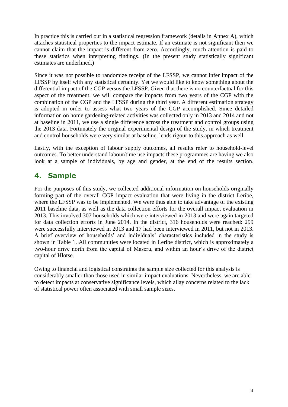In practice this is carried out in a statistical regression framework (details in Annex A), which attaches statistical properties to the impact estimate. If an estimate is not significant then we cannot claim that the impact is different from zero. Accordingly, much attention is paid to these statistics when interpreting findings. (In the present study statistically significant estimates are underlined.)

Since it was not possible to randomize receipt of the LFSSP, we cannot infer impact of the LFSSP by itself with any statistical certainty. Yet we would like to know something about the differential impact of the CGP versus the LFSSP. Given that there is no counterfactual for this aspect of the treatment, we will compare the impacts from two years of the CGP with the combination of the CGP and the LFSSP during the third year. A different estimation strategy is adopted in order to assess what two years of the CGP accomplished. Since detailed information on home gardening-related activities was collected only in 2013 and 2014 and not at baseline in 2011, we use a single difference across the treatment and control groups using the 2013 data. Fortunately the original experimental design of the study, in which treatment and control households were very similar at baseline, lends rigour to this approach as well.

Lastly, with the exception of labour supply outcomes, all results refer to household-level outcomes. To better understand labour/time use impacts these programmes are having we also look at a sample of individuals, by age and gender, at the end of the results section.

## <span id="page-8-0"></span>**4. Sample**

For the purposes of this study, we collected additional information on households originally forming part of the overall CGP impact evaluation that were living in the district Leribe, where the LFSSP was to be implemented. We were thus able to take advantage of the existing 2011 baseline data, as well as the data collection efforts for the overall impact evaluation in 2013. This involved 307 households which were interviewed in 2013 and were again targeted for data collection efforts in June 2014. In the district, 316 households were reached: 299 were successfully interviewed in 2013 and 17 had been interviewed in 2011, but not in 2013. A brief overview of households' and individuals' characteristics included in the study is shown in Table 1. All communities were located in Leribe district, which is approximately a two-hour drive north from the capital of Maseru, and within an hour's drive of the district capital of Hlotse.

Owing to financial and logistical constraints the sample size collected for this analysis is considerably smaller than those used in similar impact evaluations. Nevertheless, we are able to detect impacts at conservative significance levels, which allay concerns related to the lack of statistical power often associated with small sample sizes.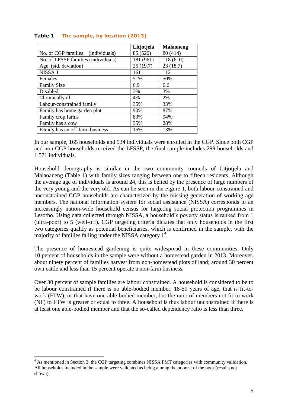|                                     | Litjotjela | <b>Malaoneng</b> |
|-------------------------------------|------------|------------------|
| No. of CGP families (individuals)   | 85 (520)   | 80 (414)         |
| No. of LFSSP families (individuals) | 181 (961)  | 118 (610)        |
| Age (std. deviation)                | 25(19.7)   | 23(18.7)         |
| NISSA <sub>1</sub>                  | 161        | 112              |
| Females                             | 51%        | 50%              |
| <b>Family Size</b>                  | 6.9        | 6.6              |
| <b>Disabled</b>                     | 3%         | 3%               |
| Chronically ill                     | 4%         | 2%               |
| Labour-constrained family           | 35%        | 33%              |
| Family has home garden plot         | 90%        | 87%              |
| Family crop farms                   | 89%        | 94%              |
| Family has a cow                    | 35%        | 28%              |
| Family has an off-farm business     | 15%        | 13%              |

#### **Table 1 The sample, by location (2013)**

In our sample, 165 households and 934 individuals were enrolled in the CGP. Since both CGP and non-CGP households received the LFSSP, the final sample includes 299 households and 1 571 individuals.

Household demography is similar in the two community councils of Litjotjela and Malaoaneng (Table 1) with family sizes ranging between one to fifteen residents. Although the average age of individuals is around 24, this is belied by the presence of large numbers of the very young and the very old. As can be seen in the Figure 1, both labour-constrained and unconstrained CGP households are characterized by the missing generation of working age members. The national information system for social assistance (NISSA) corresponds to an increasingly nation-wide household census for targeting social protection programmes in Lesotho. Using data collected through NISSA, a household's poverty status is ranked from 1 (ultra-poor) to 5 (well-off). CGP targeting criteria dictates that only households in the first two categories qualify as potential beneficiaries, which is confirmed in the sample, with the majority of families falling under the NISSA category 1<sup>4</sup>.

The presence of homestead gardening is quite widespread in these communities. Only 10 percent of households in the sample were without a homestead garden in 2013. Moreover, about ninety percent of families harvest from non-homestead plots of land; around 30 percent own cattle and less than 15 percent operate a non-farm business.

Over 30 percent of sample families are labour constrained. A household is considered to be to be labour constrained if there is no able-bodied member, 18-59 years of age, that is fit-towork (FTW), or that have one able-bodied member, but the ratio of members not fit-to-work (NF) to FTW is greater or equal to three. A household is thus labour unconstrained if there is at least one able-bodied member and that the so-called dependency ratio is less than three.

 $\overline{a}$ 

<sup>&</sup>lt;sup>4</sup> As mentioned in Section 3, the CGP targeting combines NISSA PMT categories with community validation. All households included in the sample were validated as being among the poorest of the poor (results not shown).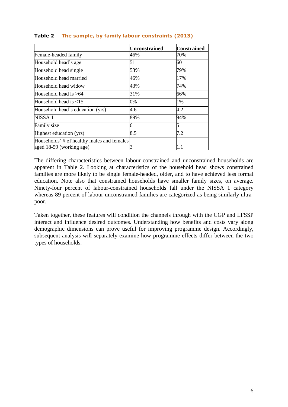|                                                                        | <b>Unconstrained</b> | <b>Constrained</b> |
|------------------------------------------------------------------------|----------------------|--------------------|
| Female-headed family                                                   | 46%                  | 70%                |
| Household head's age                                                   | 51                   | 60                 |
| Household head single                                                  | 53%                  | 79%                |
| Household head married                                                 | 46%                  | 17%                |
| Household head widow                                                   | 43%                  | 74%                |
| Household head is $>64$                                                | 31%                  | 66%                |
| Household head is $<$ 15                                               | 0%                   | 1%                 |
| Household head's education (yrs)                                       | 4.6                  | 4.2                |
| NISSA <sub>1</sub>                                                     | 89%                  | 94%                |
| Family size                                                            | 6                    | 5                  |
| Highest education (yrs)                                                | 8.5                  | 7.2                |
| Households' # of healthy males and females<br>aged 18-59 (working age) |                      | 1.1                |

#### **Table 2 The sample, by family labour constraints (2013)**

The differing characteristics between labour-constrained and unconstrained households are apparent in Table 2. Looking at characteristics of the household head shows constrained families are more likely to be single female-headed, older, and to have achieved less formal education. Note also that constrained households have smaller family sizes, on average. Ninety-four percent of labour-constrained households fall under the NISSA 1 category whereas 89 percent of labour unconstrained families are categorized as being similarly ultrapoor.

Taken together, these features will condition the channels through with the CGP and LFSSP interact and influence desired outcomes. Understanding how benefits and costs vary along demographic dimensions can prove useful for improving programme design. Accordingly, subsequent analysis will separately examine how programme effects differ between the two types of households.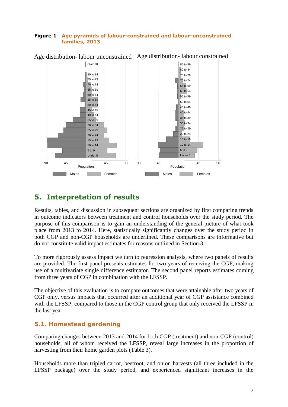#### **Figure 1 Age pyramids of labour-constrained and labour-unconstrained families, 2013**



Age distribution- labour unconstrained Age distribution- labour constrained

## <span id="page-11-0"></span>**5. Interpretation of results**

Results, tables, and discussion in subsequent sections are organized by first comparing trends in outcome indicators between treatment and control households over the study period. The purpose of this comparison is to gain an understanding of the general picture of what took place from 2013 to 2014. Here, statistically significantly changes over the study period in both CGP and non-CGP households are underlined. These comparisons are informative but do not constitute valid impact estimates for reasons outlined in Section 3.

To more rigorously assess impact we turn to regression analysis, where two panels of results are provided. The first panel presents estimates for two years of receiving the CGP, making use of a multivariate single difference estimator. The second panel reports estimates coming from three years of CGP in combination with the LFSSP.

The objective of this evaluation is to compare outcomes that were attainable after two years of CGP only, versus impacts that occurred after an additional year of CGP assistance combined with the LFSSP, compared to those in the CGP control group that only received the LFSSP in the last year.

#### <span id="page-11-1"></span>**5.1. Homestead gardening**

Comparing changes between 2013 and 2014 for both CGP (treatment) and non-CGP (control) households, all of whom received the LFSSP, reveal large increases in the proportion of harvesting from their home garden plots (Table 3).

Households more than tripled carrot, beetroot, and onion harvests (all three included in the LFSSP package) over the study period, and experienced significant increases in the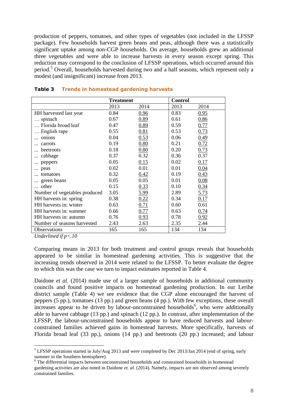production of peppers, tomatoes, and other types of vegetables (not included in the LFSSP package). Few households harvest green beans and peas, although there was a statistically significant uptake among non-CGP households. On average, households grew an additional three vegetables and were able to increase harvests in every season except spring. This reduction may correspond to the conclusion of LFSSP operations, which occurred around this period. <sup>5</sup> Overall, households harvested during two and a half seasons, which represent only a modest (and insignificant) increase from 2013.

|                               | <b>Treatment</b> |      | <b>Control</b> |      |
|-------------------------------|------------------|------|----------------|------|
|                               | 2013             | 2014 | 2013           | 2014 |
| HH harvested last year        | 0.84             | 0.96 | 0.83           | 0.95 |
| $\ldots$ spinach              | 0.67             | 0.89 | 0.61           | 0.86 |
| Florida broad leaf            | 0.47             | 0.89 | 0.59           | 0.77 |
| English rape                  | 0.55             | 0.81 | 0.53           | 0.73 |
| onions                        | 0.04             | 0.53 | 0.06           | 0.49 |
| carrots                       | 0.19             | 0.80 | 0.21           | 0.72 |
| beetroots                     | 0.18             | 0.80 | 0.20           | 0.73 |
| cabbage                       | 0.37             | 0.32 | 0.36           | 0.37 |
| peppers                       | 0.05             | 0.15 | 0.02           | 0.17 |
| peas                          | 0.02             | 0.01 | 0.01           | 0.04 |
| tomatoes                      | 0.32             | 0.42 | 0.19           | 0.43 |
| green beans                   | 0.05             | 0.05 | 0.01           | 0.08 |
| other                         | 0.15             | 0.33 | 0.10           | 0.34 |
| Number of vegetables produced | 3.05             | 5.99 | 2.89           | 5.73 |
| HH harvests in: spring        | 0.38             | 0.22 | 0.34           | 0.17 |
| HH harvests in: winter        | 0.63             | 0.71 | 0.60           | 0.61 |
| HH harvests in: summer        | 0.66             | 0.77 | 0.63           | 0.74 |
| HH harvests in: autumn        | 0.76             | 0.93 | 0.78           | 0.92 |
| Number of seasons harvested   | 2.43             | 2.63 | 2.35           | 2.44 |
| Observations                  | 165              | 165  | 134            | 134  |
|                               |                  |      |                |      |

#### **Table 3 Trends in homestead gardening harvests**

*Underlined if p<.10*

 $\overline{a}$ 

Comparing means in 2013 for both treatment and control groups reveals that households appeared to be similar in homestead gardening activities. This is suggestive that the increasing trends observed in 2014 were related to the LFSSP. To better evaluate the degree to which this was the case we turn to impact estimates reported in Table 4.

Daidone *et al.* (2014) made use of a larger sample of households in additional community councils and found positive impacts on homestead gardening production. In our Leribe district sample (Table 4) we see evidence that the CGP alone encouraged the harvest of peppers (5 pp.), tomatoes (13 pp.) and green beans (4 pp.). With few exceptions, these overall increases appear to be driven by labour-unconstrained households<sup>6</sup>, who were additionally able to harvest cabbage (13 pp.) and spinach (12 pp.). In contrast, after implementation of the LFSSP, the labour-unconstrained households appear to have reduced harvests and labourconstrained families achieved gains in homestead harvests. More specifically, harvests of Florida broad leaf (33 pp.), onions (14 pp.) and beetroots (20 pp.) increased; and labour

<sup>&</sup>lt;sup>5</sup> LFSSP operations started in July/Aug 2013 and were completed by Dec 2013/Jan 2014 (end of spring, early summer in the Southern hemisphere).

<sup>&</sup>lt;sup>6</sup> The differential impacts between unconstrained households and constrained households in homestead gardening activities are also noted in Daidone *et. al.* (2014). Namely, impacts are not observed among severely constrained families.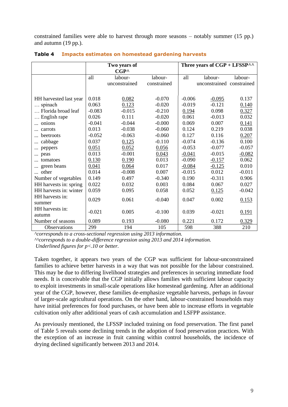constrained families were able to harvest through more seasons – notably summer (15 pp.) and autumn (19 pp.).

|                        |          | Two years of<br>$CGP^{\wedge}$ |             |          | Three years of $CGP + LFSSP^{\wedge \wedge}$ |          |
|------------------------|----------|--------------------------------|-------------|----------|----------------------------------------------|----------|
|                        | all      | labour-                        | labour-     | all      | labour-                                      | labour-  |
|                        |          | unconstrained                  | constrained |          | unconstrained constrained                    |          |
|                        |          |                                |             |          |                                              |          |
| HH harvested last year | 0.018    | 0.082                          | $-0.070$    | $-0.006$ | $-0.095$                                     | 0.137    |
| spinach                | 0.063    | 0.123                          | $-0.020$    | $-0.019$ | $-0.121$                                     | 0.140    |
| Florida broad leaf     | $-0.083$ | $-0.015$                       | $-0.210$    | 0.194    | 0.098                                        | 0.327    |
| English rape           | 0.026    | 0.111                          | $-0.020$    | 0.061    | $-0.013$                                     | 0.032    |
| onions                 | $-0.041$ | $-0.044$                       | $-0.000$    | 0.069    | 0.007                                        | 0.141    |
| carrots                | 0.013    | $-0.038$                       | $-0.060$    | 0.124    | 0.219                                        | 0.038    |
| beetroots              | $-0.052$ | $-0.063$                       | $-0.060$    | 0.127    | 0.116                                        | 0.207    |
| cabbage<br>            | 0.037    | 0.125                          | $-0.110$    | $-0.074$ | $-0.136$                                     | 0.100    |
| peppers                | 0.051    | 0.052                          | 0.056       | $-0.053$ | $-0.077$                                     | $-0.057$ |
| peas                   | 0.013    | $-0.001$                       | 0.043       | $-0.041$ | $-0.015$                                     | $-0.082$ |
| tomatoes               | 0.130    | 0.190                          | 0.013       | $-0.090$ | $-0.157$                                     | 0.062    |
| green beans            | 0.041    | 0.064                          | 0.017       | $-0.084$ | $-0.125$                                     | 0.010    |
| other                  | 0.014    | $-0.008$                       | 0.007       | $-0.015$ | 0.012                                        | $-0.011$ |
| Number of vegetables   | 0.149    | 0.497                          | $-0.340$    | 0.190    | $-0.311$                                     | 0.906    |
| HH harvests in: spring | 0.022    | 0.032                          | 0.003       | 0.084    | 0.067                                        | 0.027    |
| HH harvests in: winter | 0.059    | 0.095                          | 0.058       | 0.052    | 0.125                                        | $-0.042$ |
| HH harvests in:        | 0.029    | 0.061                          | $-0.040$    | 0.047    | 0.002                                        | 0.153    |
| summer                 |          |                                |             |          |                                              |          |
| HH harvests in:        | $-0.021$ | 0.005                          | $-0.100$    | 0.039    | $-0.021$                                     | 0.191    |
| autumn                 |          |                                |             |          |                                              |          |
| Number of seasons      | 0.089    | 0.193                          | $-0.080$    | 0.221    | 0.172                                        | 0.329    |
| Observations           | 299      | 194                            | 105         | 598      | 388                                          | 210      |

**Table 4 Impacts estimates on homestead gardening harvests**

*^corresponds to a cross-sectional regression using 2013 information.*

*^^corresponds to a double-difference regression using 2013 and 2014 information. Underlined figures for p<.10 or better.*

Taken together, it appears two years of the CGP was sufficient for labour-unconstrained families to achieve better harvests in a way that was not possible for the labour constrained. This may be due to differing livelihood strategies and preferences in securing immediate food needs. It is conceivable that the CGP initially allows families with sufficient labour capacity to exploit investments in small-scale operations like homestead gardening. After an additional year of the CGP, however, these families de-emphasize vegetable harvests, perhaps in favour of larger-scale agricultural operations. On the other hand, labour-constrained households may have initial preferences for food purchases, or have been able to increase efforts in vegetable cultivation only after additional years of cash accumulation and LSFPP assistance.

As previously mentioned, the LFSSP included training on food preservation. The first panel of Table 5 reveals some declining trends in the adoption of food preservation practices. With the exception of an increase in fruit canning within control households, the incidence of drying declined significantly between 2013 and 2014.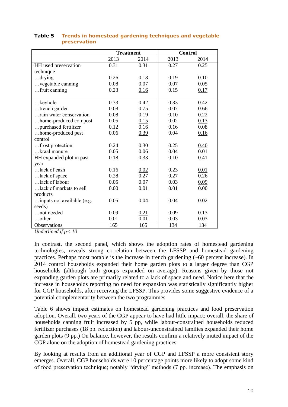|                            |      | <b>Treatment</b> | <b>Control</b> |      |
|----------------------------|------|------------------|----------------|------|
|                            | 2013 | 2014             | 2013           | 2014 |
| HH used preservation       | 0.31 | 0.31             | 0.27           | 0.25 |
| technique                  |      |                  |                |      |
| $$ drying                  | 0.26 | 0.18             | 0.19           | 0.10 |
| vegetable canning          | 0.08 | 0.07             | 0.07           | 0.05 |
| fruit canning              | 0.23 | 0.16             | 0.15           | 0.17 |
|                            |      |                  |                |      |
| $$ keyhole                 | 0.33 | 0.42             | 0.33           | 0.42 |
| trench garden              | 0.08 | 0.75             | 0.07           | 0.66 |
| rain water conservation    | 0.08 | 0.19             | 0.10           | 0.22 |
| home-produced compost      | 0.05 | 0.15             | 0.02           | 0.13 |
| purchased fertilizer       | 0.12 | 0.16             | 0.16           | 0.08 |
| home-produced pest         | 0.06 | 0.39             | 0.04           | 0.16 |
| control                    |      |                  |                |      |
| frost protection           | 0.24 | 0.30             | 0.25           | 0.40 |
| kraal manure               | 0.05 | 0.06             | 0.04           | 0.01 |
| HH expanded plot in past   | 0.18 | 0.33             | 0.10           | 0.41 |
| year                       |      |                  |                |      |
| lack of cash               | 0.16 | 0.02             | 0.23           | 0.01 |
| lack of space              | 0.28 | 0.27             | 0.27           | 0.26 |
| lack of labour             | 0.05 | 0.07             | 0.03           | 0.09 |
| lack of markets to sell    | 0.00 | 0.01             | 0.01           | 0.00 |
| products                   |      |                  |                |      |
| inputs not available (e.g. | 0.05 | 0.04             | 0.04           | 0.02 |
| seeds)                     |      |                  |                |      |
| not needed                 | 0.09 | 0.21             | 0.09           | 0.13 |
| other                      | 0.01 | 0.01             | 0.03           | 0.03 |
| Observations               | 165  | 165              | 134            | 134  |

#### **Table 5 Trends in homestead gardening techniques and vegetable preservation**

*Underlined if p<.10*

In contrast, the second panel, which shows the adoption rates of homestead gardening technologies, reveals strong correlation between the LFSSP and homestead gardening practices. Perhaps most notable is the increase in trench gardening (~60 percent increase). In 2014 control households expanded their home garden plots to a larger degree than CGP households (although both groups expanded on average). Reasons given by those not expanding garden plots are primarily related to a lack of space and need. Notice here that the increase in households reporting no need for expansion was statistically significantly higher for CGP households, after receiving the LFSSP. This provides some suggestive evidence of a potential complementarity between the two programmes

Table 6 shows impact estimates on homestead gardening practices and food preservation adoption. Overall, two years of the CGP appear to have had little impact; overall, the share of households canning fruit increased by 5 pp, while labour-constrained households reduced fertilizer purchases (18 pp. reduction) and labour-unconstrained families expanded their home garden plots (9 pp.) On balance, however, the results confirm a relatively muted impact of the CGP alone on the adoption of homestead gardening practices.

By looking at results from an additional year of CGP and LFSSP a more consistent story emerges. Overall, CGP households were 10 percentage points more likely to adopt some kind of food preservation technique; notably "drying" methods (7 pp. increase). The emphasis on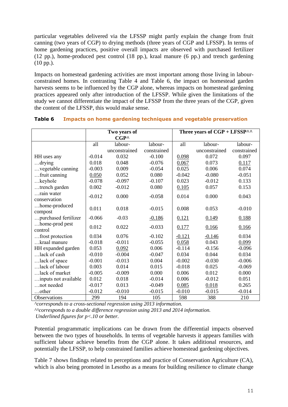particular vegetables delivered via the LFSSP might partly explain the change from fruit canning (two years of CGP) to drying methods (three years of CGP and LFSSP). In terms of home gardening practices, positive overall impacts are observed with purchased fertilizer (12 pp.), home-produced pest control (18 pp.), kraal manure (6 pp.) and trench gardening (10 pp.).

Impacts on homestead gardening activities are most important among those living in labourconstrained homes. In contrasting Table 4 and Table 6, the impact on homestead garden harvests seems to be influenced by the CGP alone, whereas impacts on homestead gardening practices appeared only after introduction of the LFSSP. While given the limitations of the study we cannot differentiate the impact of the LFSSP from the three years of the CGP, given the content of the LFSSP, this would make sense.

|                                  | Two years of |                |             | Three years of $CGP + LFSSP^{\wedge \wedge}$ |                   |             |
|----------------------------------|--------------|----------------|-------------|----------------------------------------------|-------------------|-------------|
|                                  |              | $CGP^{\wedge}$ |             |                                              |                   |             |
|                                  | all          | labour-        | labour-     | all                                          | labour-           | labour-     |
|                                  |              | unconstrained  | constrained |                                              | unconstrained     | constrained |
| HH uses any                      | $-0.014$     | 0.032          | $-0.100$    | 0.098                                        | 0.072             | 0.097       |
| $$ drying                        | 0.018        | 0.048          | $-0.076$    | 0.067                                        | 0.073             | 0.117       |
| vegetable canning                | $-0.003$     | 0.009          | $-0.054$    | 0.025                                        | 0.006             | 0.074       |
| fruit canning                    | 0.050        | 0.052          | 0.080       | $-0.042$                                     | $-0.080$          | $-0.051$    |
| $$ keyhole                       | $-0.078$     | $-0.097$       | $-0.107$    | 0.023                                        | $-0.012$          | 0.133       |
| trench garden                    | 0.002        | $-0.012$       | 0.080       | 0.105                                        | 0.057             | 0.153       |
| rain water                       | $-0.012$     | 0.000          | $-0.058$    | 0.014                                        | 0.000             | 0.043       |
| conservation                     |              |                |             |                                              |                   |             |
| home-produced                    | 0.011        | 0.018          | $-0.015$    | 0.008                                        | 0.053             | $-0.010$    |
| compost                          |              | $-0.03$        |             |                                              |                   |             |
| purchased fertilizer             | $-0.066$     |                | $-0.186$    | 0.121                                        | 0.149             | 0.188       |
| home-prod pest<br>control        | 0.012        | 0.022          | $-0.033$    | 0.177                                        | 0.166             | 0.166       |
|                                  | 0.034        | 0.076          | $-0.102$    | $-0.121$                                     |                   | 0.034       |
| frost protection<br>kraal manure | $-0.018$     | $-0.011$       | $-0.055$    | 0.058                                        | $-0.146$<br>0.043 | 0.099       |
| HH expanded garden               | 0.053        | 0.092          | 0.006       | $-0.114$                                     | $-0.156$          | $-0.096$    |
| lack of cash                     | $-0.010$     | $-0.004$       | $-0.047$    | 0.034                                        | 0.044             | 0.034       |
|                                  | $-0.001$     | $-0.013$       | 0.004       | $-0.002$                                     |                   |             |
| lack of space                    |              |                |             |                                              | $-0.030$          | $-0.006$    |
| lack of labour                   | 0.003        | 0.014          | 0.015       | $-0.018$                                     | 0.025             | $-0.069$    |
| lack of market                   | $-0.005$     | $-0.009$       | 0.000       | 0.006                                        | 0.012             | 0.000       |
| inputs not available             | 0.012        | 0.018          | $-0.014$    | 0.006                                        | $-0.012$          | 0.051       |
| not needed                       | $-0.017$     | 0.013          | $-0.049$    | 0.085                                        | 0.018             | 0.265       |
| $\ldots$ other                   | $-0.012$     | $-0.010$       | $-0.015$    | $-0.010$                                     | $-0.015$          | $-0.014$    |
| Observations                     | 299          | 194            | 105         | 598                                          | 388               | 210         |

|  | <b>Table 6</b> Impacts on home gardening techniques and vegetable preservation |  |  |  |  |
|--|--------------------------------------------------------------------------------|--|--|--|--|
|--|--------------------------------------------------------------------------------|--|--|--|--|

*^corresponds to a cross-sectional regression using 2013 information.*

*^^corresponds to a double difference regression using 2013 and 2014 information.*

*Underlined figures for p<.10 or better.*

Potential programmatic implications can be drawn from the differential impacts observed between the two types of households. In terms of vegetable harvests it appears families with sufficient labour achieve benefits from the CGP alone. It takes additional resources, and potentially the LFSSP, to help constrained families achieve homestead gardening objectives.

Table 7 shows findings related to perceptions and practice of Conservation Agriculture (CA), which is also being promoted in Lesotho as a means for building resilience to climate change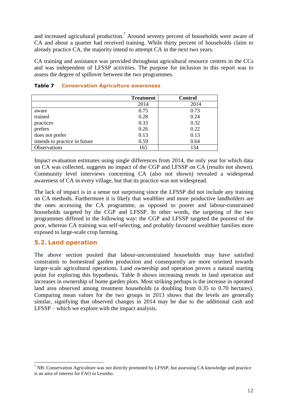and increased agricultural production.<sup>7</sup> Around seventy percent of households were aware of CA and about a quarter had received training. While thirty percent of households claim to already practice CA, the majority intend to attempt CA in the next two years.

CA training and assistance was provided throughout agricultural resource centres in the CCs and was independent of LFSSP activities. The purpose for inclusion in this report was to assess the degree of spillover between the two programmes.

|                               | <b>Treatment</b> | <b>Control</b> |
|-------------------------------|------------------|----------------|
|                               | 2014             | 2014           |
| aware                         | 0.75             | 0.73           |
| trained                       | 0.28             | 0.24           |
| practices                     | 0.33             | 0.32           |
| prefers                       | 0.26             | 0.22           |
| does not prefer               | 0.13             | 0.13           |
| intends to practice in future | 0.59             | 0.64           |
| Observations                  | 165              | 134            |

#### **Table 7 Conservation Agriculture awareness**

Impact evaluation estimates using single differences from 2014, the only year for which data on CA was collected, suggests no impact of the CGP and LFSSP on CA (results not shown). Community level interviews concerning CA (also not shown) revealed a widespread awareness of CA in every village, but that its practice was not widespread.

The lack of impact is in a sense not surprising since the LFSSP did not include any training on CA methods. Furthermore it is likely that wealthier and more productive landholders are the ones accessing the CA programme, as opposed to poorer and labour-constrained households targeted by the CGP and LFSSP. In other words, the targeting of the two programmes differed in the following way: the CGP and LFSSP targeted the poorest of the poor, whereas CA training was self-selecting, and probably favoured wealthier families more exposed to large-scale crop farming.

#### <span id="page-16-0"></span>**5.2. Land operation**

 $\overline{a}$ 

The above section posited that labour-unconstrained households may have satisfied constraints to homestead garden production and consequently are more oriented towards larger-scale agricultural operations. Land ownership and operation proves a natural starting point for exploring this hypothesis. Table 8 shows increasing trends in land operation and increases in ownership of home garden plots. Most striking perhaps is the increase in operated land area observed among treatment households (a doubling from 0.35 to 0.70 hectares). Comparing mean values for the two groups in 2013 shows that the levels are generally similar, signifying that observed changes in 2014 may be due to the additional cash and LFSSP – which we explore with the impact analysis.

 $<sup>7</sup>$  NB: Conservation Agriculture was not directly promoted by LFSSP, but assessing CA knowledge and practice</sup> is an area of interest for FAO in Lesotho.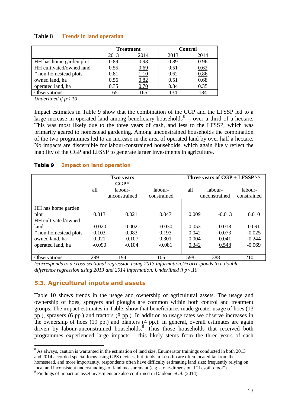|                          | <b>Treatment</b> |      | <b>Control</b> |      |
|--------------------------|------------------|------|----------------|------|
|                          | 2013             | 2014 | 2013           | 2014 |
| HH has home garden plot  | 0.89             | 0.98 | 0.89           | 0.96 |
| HH cultivated/owned land | 0.55             | 0.69 | 0.51           | 0.62 |
| # non-homestead plots    | 0.81             | 1.10 | 0.62           | 0.86 |
| owned land, ha           | 0.56             | 0.82 | 0.51           | 0.68 |
| operated land, ha        | 0.35             | 0.70 | 0.34           | 0.35 |
| Observations             | 165              | 165  | 134            | 134  |

#### **Table 8 Trends in land operation**

*Underlined if p<.10*

Impact estimates in Table 9 show that the combination of the CGP and the LFSSP led to a large increase in operated land among beneficiary households<sup>8</sup> -- over a third of a hectare. This was most likely due to the three years of cash, and less to the LFSSP, which was primarily geared to homestead gardening. Among unconstrained households the combination of the two programmes led to an increase in the area of operated land by over half a hectare. No impacts are discernible for labour-constrained households, which again likely reflect the inability of the CGP and LFSSP to generate larger investments in agriculture.

#### **Table 9 Impact on land operation**

|                       | <b>Two years</b><br>$CGP^{\wedge}$ |                          |                        |       | Three years of $CGP + LFSSP^{\wedge \wedge}$ |                        |
|-----------------------|------------------------------------|--------------------------|------------------------|-------|----------------------------------------------|------------------------|
|                       | all                                | labour-<br>unconstrained | labour-<br>constrained | all   | labour-<br>unconstrained                     | labour-<br>constrained |
| HH has home garden    |                                    |                          |                        |       |                                              |                        |
| plot                  | 0.013                              | 0.021                    | 0.047                  | 0.009 | $-0.013$                                     | 0.010                  |
| HH cultivated/owned   |                                    |                          |                        |       |                                              |                        |
| land                  | $-0.020$                           | 0.002                    | $-0.030$               | 0.053 | 0.018                                        | 0.091                  |
| # non-homestead plots | 0.103                              | 0.083                    | 0.193                  | 0.042 | 0.073                                        | $-0.025$               |
| owned land, ha        | 0.021                              | $-0.107$                 | 0.301                  | 0.004 | 0.041                                        | $-0.244$               |
| operated land, ha     | $-0.090$                           | $-0.104$                 | $-0.081$               | 0.342 | 0.548                                        | $-0.069$               |
|                       |                                    |                          |                        |       |                                              |                        |
| <b>Observations</b>   | 299                                | 194                      | 105                    | 598   | 388                                          | 210                    |

*^corresponds to a cross-sectional regression using 2013 information.^^corresponds to a double difference regression using 2013 and 2014 information. Underlined if p<.10*

#### **5.3. Agricultural inputs and assets**

Table 10 shows trends in the usage and ownership of agricultural assets. The usage and ownership of hoes, sprayers and ploughs are common within both control and treatment groups. The impact estimates in [Table](#page-18-0) show that beneficiaries made greater usage of hoes (13 pp.), sprayers (6 pp.) and tractors (8 pp.). In addition to usage rates we observe increases in the ownership of hoes (19 pp.) and planters (4 pp.). In general, overall estimates are again driven by labour-unconstrained households. 9 Thus those households that received both programmes experienced large impacts – this likely stems from the three years of cash

 $\overline{a}$ <sup>8</sup> As always, caution is warranted in the estimation of land size. Enumerator trainings conducted in both 2013 and 2014 accorded special focus using GPS devices, but fields in Lesotho are often located far from the homestead, and more importantly, respondents often have difficulty estimating land size; frequently relying on local and inconsistent understandings of land measurement (e.g. a one-dimensional "Lesotho foot").

<sup>9</sup> Findings of impact on asset investment are also confirmed in Daidone *et al*. (2014).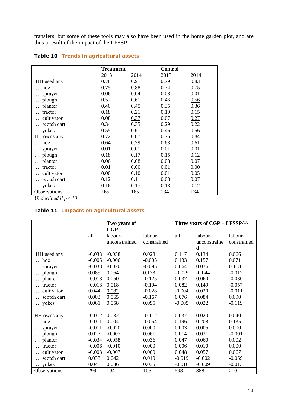transfers, but some of these tools may also have been used in the home garden plot, and are thus a result of the impact of the LFSSP.

|              | <b>Treatment</b> |      | <b>Control</b> |      |
|--------------|------------------|------|----------------|------|
|              | 2013             | 2014 | 2013           | 2014 |
| HH used any  | 0.78             | 0.91 | 0.79           | 0.83 |
| hoe          | 0.75             | 0.88 | 0.74           | 0.75 |
| sprayer      | 0.06             | 0.04 | 0.08           | 0.01 |
| plough       | 0.57             | 0.61 | 0.46           | 0.56 |
| planter      | 0.40             | 0.45 | 0.35           | 0.36 |
| tractor      | 0.18             | 0.21 | 0.19           | 0.15 |
| cultivator   | 0.08             | 0.37 | 0.07           | 0.27 |
| scotch cart  | 0.34             | 0.35 | 0.29           | 0.22 |
| yokes        | 0.55             | 0.61 | 0.46           | 0.56 |
| HH owns any  | 0.72             | 0.87 | 0.75           | 0.84 |
| hoe          | 0.64             | 0.79 | 0.63           | 0.61 |
| sprayer      | 0.01             | 0.01 | 0.01           | 0.01 |
| plough       | 0.18             | 0.17 | 0.15           | 0.12 |
| planter      | 0.06             | 0.08 | 0.08           | 0.07 |
| tractor      | 0.01             | 0.00 | 0.01           | 0.00 |
| cultivator   | 0.00             | 0.10 | 0.01           | 0.05 |
| scotch cart  | 0.12             | 0.11 | 0.08           | 0.07 |
| yokes        | 0.16             | 0.17 | 0.13           | 0.12 |
| Observations | 165              | 165  | 134            | 134  |

#### **Table 10 Trends in agricultural assets**

*Underlined if p<.10*

#### <span id="page-18-0"></span>**Table 11 Impacts on agricultural assets**

|                  |          | Two years of   |             | Three years of $CGP + LFSSP^{\wedge \wedge}$ |              |             |  |
|------------------|----------|----------------|-------------|----------------------------------------------|--------------|-------------|--|
|                  |          | $CGP^{\wedge}$ |             |                                              |              |             |  |
|                  | all      | labour-        | labour-     | all                                          | labour-      | labour-     |  |
|                  |          | unconstrained  | constrained |                                              | unconstraine | constrained |  |
|                  |          |                |             |                                              | d            |             |  |
| HH used any      | $-0.033$ | $-0.058$       | 0.028       | 0.117                                        | 0.134        | 0.066       |  |
| $\ldots$ hoe     | $-0.005$ | $-0.006$       | $-0.005$    | 0.133                                        | 0.157        | 0.071       |  |
| sprayer          | $-0.038$ | $-0.020$       | $-0.095$    | 0.064                                        | 0.036        | 0.118       |  |
| plough           | 0.089    | 0.064          | 0.123       | $-0.029$                                     | $-0.044$     | $-0.012$    |  |
| planter          | $-0.018$ | 0.050          | $-0.125$    | 0.037                                        | 0.060        | $-0.030$    |  |
| $\ldots$ tractor | $-0.018$ | 0.018          | $-0.104$    | 0.082                                        | 0.149        | $-0.057$    |  |
| cultivator       | 0.044    | 0.082          | $-0.028$    | $-0.004$                                     | 0.020        | $-0.011$    |  |
| scotch cart      | 0.003    | 0.065          | $-0.167$    | 0.076                                        | 0.084        | 0.090       |  |
| yokes            | 0.061    | 0.058          | 0.095       | $-0.005$                                     | 0.022        | $-0.119$    |  |
|                  |          |                |             |                                              |              |             |  |
| HH owns any      | $-0.012$ | 0.032          | $-0.112$    | 0.037                                        | 0.020        | 0.040       |  |
| hoe              | $-0.011$ | 0.004          | $-0.054$    | 0.196                                        | 0.208        | 0.135       |  |
| sprayer          | $-0.011$ | $-0.020$       | 0.000       | 0.003                                        | 0.005        | 0.000       |  |
| plough           | 0.027    | $-0.007$       | 0.061       | 0.014                                        | 0.031        | $-0.001$    |  |
| planter          | $-0.034$ | $-0.058$       | 0.036       | 0.047                                        | 0.060        | 0.002       |  |
| tractor          | $-0.006$ | $-0.010$       | 0.000       | 0.006                                        | 0.010        | 0.000       |  |
| cultivator       | $-0.003$ | $-0.007$       | 0.000       | 0.048                                        | 0.057        | 0.067       |  |
| scotch cart      | 0.033    | 0.042          | 0.019       | $-0.019$                                     | $-0.002$     | $-0.069$    |  |
| yokes            | 0.04     | 0.036          | 0.035       | $-0.016$                                     | $-0.009$     | $-0.013$    |  |
| Observations     | 299      | 194            | 105         | 598                                          | 388          | 210         |  |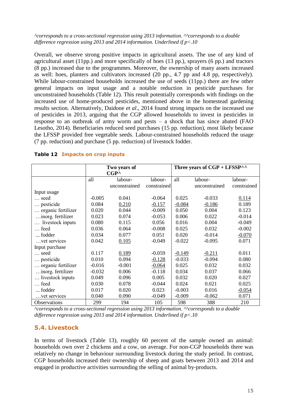#### *^corresponds to a cross-sectional regression using 2013 information. ^^corresponds to a double difference regression using 2013 and 2014 information. Underlined if p<.10*

Overall, we observe strong positive impacts in agricultural assets. The use of any kind of agricultural asset (11pp.) and more specifically of hoes (13 pp.), sprayers (6 pp.) and tractors (8 pp.) increased due to the programmes. Moreover, the ownership of many assets increased as well: hoes, planters and cultivators increased (20 pp., 4.7 pp and 4.8 pp, respectively). While labour-constrained households increased the use of seeds (11pp.) there are few other general impacts on input usage and a notable reduction in pesticide purchases for unconstrained households (Table 12). This result potentially corresponds with findings on the increased use of home-produced pesticides, mentioned above in the homestead gardening results section. Alternatively, Daidone *et al*., 2014 found strong impacts on the increased use of pesticides in 2013, arguing that the CGP allowed households to invest in pesticides in response to an outbreak of army worm and pests  $-$  a shock that has since abated (FAO Lesotho, 2014). Beneficiaries reduced seed purchases (15 pp. reduction), most likely because the LFSSP provided free vegetable seeds. Labour-constrained households reduced the usage (7 pp. reduction) and purchase (5 pp. reduction) of livestock fodder.

|                    |                | Two years of  |             | Three years of $CGP + LFSSP^{\wedge \wedge}$ |               |             |  |
|--------------------|----------------|---------------|-------------|----------------------------------------------|---------------|-------------|--|
|                    | $CGP^{\wedge}$ |               |             |                                              |               |             |  |
|                    | all            | labour-       | labour-     | all                                          | labour-       | labour-     |  |
|                    |                | unconstrained | constrained |                                              | unconstrained | constrained |  |
| Input usage        |                |               |             |                                              |               |             |  |
| seed               | $-0.005$       | 0.041         | $-0.064$    | 0.025                                        | $-0.033$      | 0.114       |  |
| pesticide          | 0.084          | 0.210         | $-0.157$    | $-0.084$                                     | $-0.186$      | 0.189       |  |
| organic fertilizer | 0.020          | 0.044         | $-0.009$    | 0.050                                        | 0.004         | 0.123       |  |
| inorg. fertilizer  | 0.023          | 0.074         | $-0.053$    | 0.006                                        | 0.022         | $-0.014$    |  |
| livestock inputs   | 0.080          | 0.115         | 0.056       | 0.016                                        | 0.004         | $-0.049$    |  |
| feed               | 0.036          | 0.064         | $-0.008$    | 0.025                                        | 0.032         | $-0.002$    |  |
| fodder             | 0.034          | 0.077         | 0.051       | 0.020                                        | $-0.014$      | $-0.070$    |  |
| vet services       | 0.042          | 0.105         | $-0.049$    | $-0.022$                                     | $-0.095$      | 0.071       |  |
| Input purchase     |                |               |             |                                              |               |             |  |
| seed               | 0.117          | 0.189         | $-0.059$    | $-0.149$                                     | $-0.211$      | 0.011       |  |
| pesticide          | 0.010          | 0.094         | $-0.128$    | $-0.033$                                     | $-0.094$      | 0.080       |  |
| organic fertilizer | $-0.016$       | $-0.001$      | $-0.064$    | 0.025                                        | 0.032         | 0.032       |  |
| inorg. fertilizer  | $-0.032$       | 0.006         | $-0.118$    | 0.034                                        | 0.037         | 0.066       |  |
| livestock inputs   | 0.049          | 0.096         | 0.005       | 0.032                                        | 0.020         | 0.027       |  |
| feed               | 0.030          | 0.078         | $-0.044$    | 0.024                                        | 0.021         | 0.025       |  |
| fodder             | 0.017          | 0.020         | 0.023       | $-0.003$                                     | 0.016         | $-0.054$    |  |
| vet services       | 0.040          | 0.090         | $-0.049$    | $-0.009$                                     | $-0.062$      | 0.071       |  |
| Observations       | 299            | 194           | 105         | 598                                          | 388           | 210         |  |

#### **Table 12 Impacts on crop inputs**

*^corresponds to a cross-sectional regression using 2013 information. ^^corresponds to a double difference regression using 2013 and 2014 information. Underlined if p<.10*

#### <span id="page-19-0"></span>**5.4. Livestock**

In terms of livestock (Table 13), roughly 60 percent of the sample owned an animal: households own over 2 chickens and a cow, on average. For non-CGP households there was relatively no change in behaviour surrounding livestock during the study period. In contrast, CGP households increased their ownership of sheep and goats between 2013 and 2014 and engaged in productive activities surrounding the selling of animal by-products.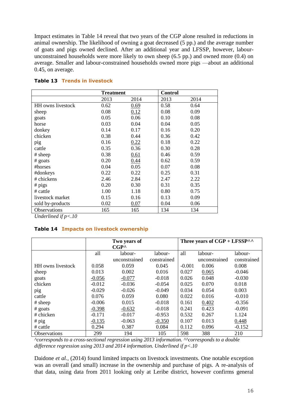Impact estimates in Table 14 reveal that two years of the CGP alone resulted in reductions in animal ownership. The likelihood of owning a goat decreased (5 pp.) and the average number of goats and pigs owned declined. After an additional year and LFSSP, however, labourunconstrained households were more likely to own sheep (6.5 pp.) and owned more (0.4) on average. Smaller and labour-constrained households owned more pigs —about an additional 0.45, on average.

|                   | <b>Treatment</b> |      | <b>Control</b> |      |
|-------------------|------------------|------|----------------|------|
|                   | 2013             | 2014 | 2013           | 2014 |
| HH owns livestock | 0.62             | 0.69 | 0.58           | 0.64 |
| sheep             | 0.08             | 0.12 | 0.08           | 0.09 |
| goats             | 0.05             | 0.06 | 0.10           | 0.08 |
| horse             | 0.03             | 0.04 | 0.04           | 0.05 |
| donkey            | 0.14             | 0.17 | 0.16           | 0.20 |
| chicken           | 0.38             | 0.44 | 0.36           | 0.42 |
| pig               | 0.16             | 0.22 | 0.18           | 0.22 |
| cattle            | 0.35             | 0.36 | 0.30           | 0.28 |
| # sheep           | 0.38             | 0.61 | 0.46           | 0.59 |
| # goats           | 0.20             | 0.44 | 0.62           | 0.59 |
| #horses           | 0.04             | 0.05 | 0.07           | 0.08 |
| #donkeys          | 0.22             | 0.22 | 0.25           | 0.31 |
| # chickens        | 2.46             | 2.84 | 2.47           | 2.22 |
| $# \text{pigs}$   | 0.20             | 0.30 | 0.31           | 0.35 |
| # cattle          | 1.00             | 1.18 | 0.80           | 0.75 |
| livestock market  | 0.15             | 0.16 | 0.13           | 0.09 |
| sold by-products  | 0.02             | 0.07 | 0.04           | 0.06 |
| Observations      | 165              | 165  | 134            | 134  |

#### **Table 13 Trends in livestock**

*Underlined if p<.10*

#### **Table 14 Impacts on livestock ownership**

|                          | Two years of<br>$CGP^{\wedge}$ |               |             | Three years of $CGP + LFSSP^{\wedge \wedge}$ |               |             |
|--------------------------|--------------------------------|---------------|-------------|----------------------------------------------|---------------|-------------|
|                          | all                            | labour-       | labour-     | all                                          | labour-       | labour-     |
|                          |                                | unconstrained | constrained |                                              | unconstrained | constrained |
| <b>HH</b> owns livestock | 0.058                          | 0.059         | 0.045       | $-0.001$                                     | 0.006         | 0.008       |
| sheep                    | 0.013                          | 0.002         | 0.016       | 0.027                                        | 0.065         | $-0.046$    |
| goats                    | $-0.056$                       | $-0.077$      | $-0.018$    | 0.026                                        | 0.048         | $-0.030$    |
| chicken                  | $-0.012$                       | $-0.036$      | $-0.054$    | 0.025                                        | 0.070         | 0.018       |
| pig                      | $-0.029$                       | $-0.026$      | $-0.049$    | 0.034                                        | 0.054         | 0.003       |
| cattle                   | 0.076                          | 0.059         | 0.080       | 0.022                                        | 0.016         | $-0.010$    |
| # sheep                  | $-0.006$                       | 0.015         | $-0.018$    | 0.161                                        | 0.402         | $-0.356$    |
| $#$ goats                | $-0.398$                       | $-0.632$      | $-0.018$    | 0.241                                        | 0.423         | $-0.091$    |
| # chicken                | $-0.171$                       | $-0.017$      | $-0.953$    | 0.532                                        | 0.267         | 1.124       |
| $#$ pig                  | $-0.135$                       | $-0.063$      | $-0.350$    | 0.107                                        | 0.013         | 0.448       |
| $#$ cattle               | 0.294                          | 0.387         | 0.084       | 0.112                                        | 0.096         | $-0.152$    |
| <b>Observations</b>      | 299                            | 194           | 105         | 598                                          | 388           | 210         |

*^corresponds to a cross-sectional regression using 2013 information. ^^corresponds to a double difference regression using 2013 and 2014 information. Underlined if p<.10*

Daidone *et al.*, (2014) found limited impacts on livestock investments. One notable exception was an overall (and small) increase in the ownership and purchase of pigs. A re-analysis of that data, using data from 2011 looking only at Leribe district, however confirms general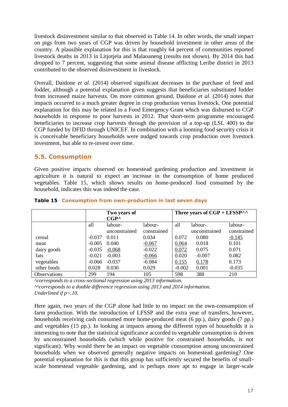livestock disinvestment similar to that observed in Table 14. In other words, the small impact on pigs from two years of CGP was driven by household investment in other areas of the country. A plausible explanation for this is that roughly 64 percent of communities reported livestock deaths in 2013 in Litjotjela and Malaoaneng (results not shown). By 2014 this had dropped to 7 percent, suggesting that some animal disease afflicting Leribe district in 2013 contributed to the observed disinvestment in livestock.

Overall, Daidone *et al.* (2014) observed significant decreases in the purchase of feed and fodder, although a potential explanation given suggests that beneficiaries substituted fodder from increased maize harvests. On more common ground, Daidone *et al*. (2014) notes that impacts occurred to a much greater degree in crop production versus livestock. One potential explanation for this may be related to a Food Emergency Grant which was disbursed to CGP households in response to poor harvests in 2012. That short-term programme encouraged beneficiaries to increase crop harvests through the provision of a top-up (LSL 400) to the CGP funded by DFID through UNICEF. In combination with a looming food security crisis it is conceivable beneficiary households were nudged towards crop production over livestock investment, but able to re-invest over time.

#### <span id="page-21-0"></span>**5.5. Consumption**

Given positive impacts observed on homestead gardening production and investment in agriculture it is natural to expect an increase in the consumption of home produced vegetables. Table 15, which shows results on home-produced food consumed by the household, indicates this was indeed the case.

|                     | Two years of |                | Three years of $CGP + LFSSP^{\wedge \wedge}$ |          |               |             |
|---------------------|--------------|----------------|----------------------------------------------|----------|---------------|-------------|
|                     |              | $CGP^{\wedge}$ |                                              |          |               |             |
|                     | all          | labour-        | labour-                                      | all      | labour-       | labour-     |
|                     |              | unconstrained  | constrained                                  |          | unconstrained | constrained |
| cereal              | $-0.037$     | 0.011          | 0.034                                        | 0.072    | 0.080         | $-0.145$    |
| meat                | $-0.005$     | 0.040          | $-0.067$                                     | 0.064    | 0.018         | 0.101       |
| dairy goods         | $-0.035$     | $-0.068$       | $-0.022$                                     | 0.072    | 0.075         | 0.071       |
| fats                | $-0.021$     | $-0.003$       | $-0.066$                                     | 0.020    | $-0.007$      | 0.082       |
| vegetables          | $-0.066$     | $-0.037$       | $-0.084$                                     | 0.155    | 0.178         | 0.173       |
| other foods         | 0.028        | 0.030          | 0.029                                        | $-0.002$ | 0.001         | $-0.035$    |
| <b>Observations</b> | 299          | 194            | 105                                          | 598      | 388           | 210         |

#### **Table 15 Consumption from own-production in last seven days**

*^corresponds to a cross-sectional regression using 2013 information. ^^corresponds to a double difference regression using 2013 and 2014 information. Underlined if p<.10.*

Here again, two years of the CGP alone had little to no impact on the own-consumption of farm production. With the introduction of LFSSP and the extra year of transfers, however, households receiving cash consumed more home-produced meat (6 pp.), dairy goods (7 pp.) and vegetables (15 pp.). In looking at impacts among the different types of households it is interesting to note that the statistical significance accorded to vegetable consumption is driven by unconstrained households (which while positive for constrained households, is not significant). Why would there be an impact on vegetable consumption among unconstrained households when we observed generally negative impacts on homestead gardening? One potential explanation for this is that this group has sufficiently secured the benefits of smallscale homestead vegetable gardening, and is perhaps more apt to engage in larger-scale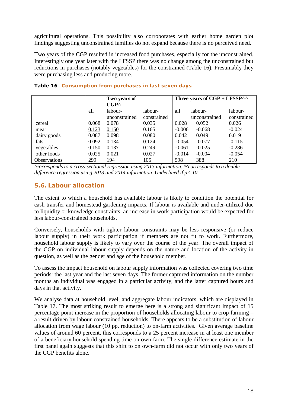agricultural operations. This possibility also corroborates with earlier home garden plot findings suggesting unconstrained families do not expand because there is no perceived need.

Two years of the CGP resulted in increased food purchases, especially for the unconstrained. Interestingly one year later with the LFSSP there was no change among the unconstrained but reductions in purchases (notably vegetables) for the constrained (Table 16). Presumably they were purchasing less and producing more.

|                     |       | Two years of<br>$CGP^{\wedge}$ |             |          | Three years of $CGP + LFSSP^{\wedge \wedge}$ |             |
|---------------------|-------|--------------------------------|-------------|----------|----------------------------------------------|-------------|
|                     | all   | labour-                        | labour-     | all      | labour-                                      | labour-     |
|                     |       | unconstrained                  | constrained |          | unconstrained                                | constrained |
| cereal              | 0.068 | 0.078                          | 0.035       | 0.028    | 0.052                                        | 0.026       |
| meat                | 0.123 | 0.150                          | 0.165       | $-0.006$ | $-0.068$                                     | $-0.024$    |
| dairy goods         | 0.087 | 0.098                          | 0.080       | 0.042    | 0.049                                        | 0.019       |
| fats                | 0.092 | 0.134                          | 0.124       | $-0.054$ | $-0.077$                                     | $-0.115$    |
| vegetables          | 0.150 | 0.137                          | 0.249       | $-0.061$ | $-0.025$                                     | $-0.286$    |
| other foods         | 0.025 | 0.021                          | 0.027       | $-0.014$ | $-0.004$                                     | $-0.054$    |
| <b>Observations</b> | 299   | 194                            | 105         | 598      | 388                                          | 210         |

#### **Table 16 Consumption from purchases in last seven days**

*^corresponds to a cross-sectional regression using 2013 information. ^^corresponds to a double difference regression using 2013 and 2014 information. Underlined if p<.10.*

#### <span id="page-22-0"></span>**5.6. Labour allocation**

The extent to which a household has available labour is likely to condition the potential for cash transfer and homestead gardening impacts. If labour is available and under-utilized due to liquidity or knowledge constraints, an increase in work participation would be expected for less labour-constrained households.

Conversely, households with tighter labour constraints may be less responsive (or reduce labour supply) in their work participation if members are not fit to work. Furthermore, household labour supply is likely to vary over the course of the year. The overall impact of the CGP on individual labour supply depends on the nature and location of the activity in question, as well as the gender and age of the household member.

To assess the impact household on labour supply information was collected covering two time periods: the last year and the last seven days. The former captured information on the number months an individual was engaged in a particular activity, and the latter captured hours and days in that activity.

We analyse data at household level, and aggregate labour indicators, which are displayed in [Table 1](#page-23-0)7. The most striking result to emerge here is a strong and significant impact of 15 percentage point increase in the proportion of households allocating labour to crop farming – a result driven by labour-constrained households. There appears to be a substitution of labour allocation from wage labour (10 pp. reduction) to on-farm activities. Given average baseline values of around 60 percent, this corresponds to a 25 percent increase in at least one member of a beneficiary household spending time on own-farm. The single-difference estimate in the first panel again suggests that this shift to on own-farm did not occur with only two years of the CGP benefits alone.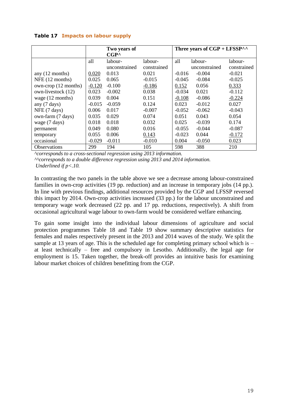|                      |          | Two years of<br>$CGP^{\wedge}$ |             |          | Three years of $CGP + LFSSP^{\wedge \wedge}$ |             |
|----------------------|----------|--------------------------------|-------------|----------|----------------------------------------------|-------------|
|                      | all      | labour-                        | labour-     | all      | labour-                                      | labour-     |
|                      |          | unconstrained                  | constrained |          | unconstrained                                | constrained |
| any $(12$ months)    | 0.020    | 0.013                          | 0.021       | $-0.016$ | $-0.004$                                     | $-0.021$    |
| NFE (12 months)      | 0.025    | 0.065                          | $-0.015$    | $-0.045$ | $-0.084$                                     | $-0.025$    |
| own-crop (12 months) | $-0.120$ | $-0.100$                       | $-0.186$    | 0.152    | 0.056                                        | 0.333       |
| own-livestock (12)   | 0.023    | $-0.002$                       | 0.038       | $-0.034$ | 0.021                                        | $-0.112$    |
| wage $(12$ months)   | 0.039    | 0.004                          | 0.151       | $-0.108$ | $-0.086$                                     | $-0.224$    |
| any (7 days)         | $-0.015$ | $-0.059$                       | 0.124       | 0.023    | $-0.012$                                     | 0.027       |
| NFE (7 days)         | 0.006    | 0.017                          | $-0.007$    | $-0.052$ | $-0.062$                                     | $-0.043$    |
| own-farm (7 days)    | 0.035    | 0.029                          | 0.074       | 0.051    | 0.043                                        | 0.054       |
| wage (7 days)        | 0.018    | 0.018                          | 0.032       | 0.025    | $-0.039$                                     | 0.174       |
| permanent            | 0.049    | 0.080                          | 0.016       | $-0.055$ | $-0.044$                                     | $-0.087$    |
| temporary            | 0.055    | 0.006                          | 0.143       | $-0.023$ | 0.044                                        | $-0.172$    |
| occasional           | $-0.029$ | $-0.011$                       | $-0.010$    | 0.004    | $-0.050$                                     | 0.023       |
| <b>Observations</b>  | 299      | 194                            | 105         | 598      | 388                                          | 210         |

#### <span id="page-23-0"></span>**Table 17 Impacts on labour supply**

*^corresponds to a cross-sectional regression using 2013 information. ^^corresponds to a double difference regression using 2013 and 2014 information. Underlined if p<.10.*

In contrasting the two panels in the table above we see a decrease among labour-constrained families in own-crop activities (19 pp. reduction) and an increase in temporary jobs (14 pp.). In line with previous findings, additional resources provided by the CGP and LFSSP reversed this impact by 2014. Own-crop activities increased (33 pp.) for the labour unconstrained and temporary wage work decreased (22 pp. and 17 pp. reductions, respectively). A shift from occasional agricultural wage labour to own-farm would be considered welfare enhancing.

To gain some insight into the individual labour dimensions of agriculture and social protection programmes Table 18 and Table 19 show summary descriptive statistics for females and males respectively present in the 2013 and 2014 waves of the study. We split the sample at 13 years of age. This is the scheduled age for completing primary school which is  $$ at least technically – free and compulsory in Lesotho. Additionally, the legal age for employment is 15. Taken together, the break-off provides an intuitive basis for examining labour market choices of children benefitting from the CGP.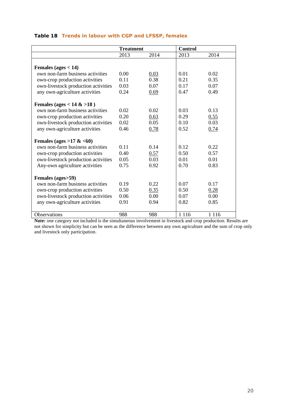|                                     | <b>Treatment</b> |      | <b>Control</b> |         |
|-------------------------------------|------------------|------|----------------|---------|
|                                     | 2013             | 2014 | 2013           | 2014    |
|                                     |                  |      |                |         |
| Females (ages $<$ 14)               |                  |      |                |         |
| own non-farm business activities    | 0.00             | 0.03 | 0.01           | 0.02    |
| own-crop production activities      | 0.11             | 0.38 | 0.21           | 0.35    |
| own-livestock production activities | 0.03             | 0.07 | 0.17           | 0.07    |
| any own-agriculture activities      | 0.24             | 0.69 | 0.47           | 0.49    |
| Females (ages < $14 > 18$ )         |                  |      |                |         |
| own non-farm business activities    | 0.02             | 0.02 | 0.03           | 0.13    |
| own-crop production activities      | 0.20             | 0.63 | 0.29           | 0.55    |
| own-livestock production activities | 0.02             | 0.05 | 0.10           | 0.03    |
| any own-agriculture activities      | 0.46             | 0.78 | 0.52           | 0.74    |
|                                     |                  |      |                |         |
| Females (ages > $17 \< 60$ )        |                  |      |                |         |
| own non-farm business activities    | 0.11             | 0.14 | 0.12           | 0.22    |
| own-crop production activities      | 0.40             | 0.57 | 0.50           | 0.57    |
| own-livestock production activities | 0.05             | 0.03 | 0.01           | 0.01    |
| Any-own agriculture activities      | 0.75             | 0.92 | 0.70           | 0.83    |
| Females (ages>59)                   |                  |      |                |         |
| own non-farm business activities    | 0.19             | 0.22 | 0.07           | 0.17    |
| own-crop production activities      | 0.50             | 0.35 | 0.50           | 0.28    |
| own-livestock production activities | 0.06             | 0.00 | 0.07           | 0.00    |
| any own-agriculture activities      | 0.91             | 0.94 | 0.82           | 0.85    |
|                                     |                  |      |                |         |
| Observations                        | 988              | 988  | 1 1 1 6        | 1 1 1 6 |

#### **Table 18 Trends in labour with CGP and LFSSP, females**

**Note:** one category not included is the simultaneous involvement in livestock and crop production. Results are not shown for simplicity but can be seen as the difference between any own agriculture and the sum of crop only and livestock only participation.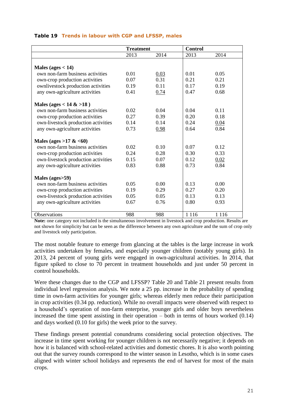|                                     | <b>Treatment</b> |      | <b>Control</b> |         |
|-------------------------------------|------------------|------|----------------|---------|
|                                     | 2013             | 2014 | 2013           | 2014    |
|                                     |                  |      |                |         |
| Males (ages $<$ 14)                 |                  |      |                |         |
| own non-farm business activities    | 0.01             | 0.03 | 0.01           | 0.05    |
| own-crop production activities      | 0.07             | 0.31 | 0.21           | 0.21    |
| ownlivestock production activities  | 0.19             | 0.11 | 0.17           | 0.19    |
| any own-agriculture activities      | 0.41             | 0.74 | 0.47           | 0.68    |
|                                     |                  |      |                |         |
| Males (ages < $14 > 18$ )           |                  |      |                |         |
| own non-farm business activities    | 0.02             | 0.04 | 0.04           | 0.11    |
| own-crop production activities      | 0.27             | 0.39 | 0.20           | 0.18    |
| own-livestock production activities | 0.14             | 0.14 | 0.24           | 0.04    |
| any own-agriculture activities      | 0.73             | 0.98 | 0.64           | 0.84    |
|                                     |                  |      |                |         |
| Males (ages > 17 & $<60$ )          |                  |      |                |         |
| own non-farm business activities    | 0.02             | 0.10 | 0.07           | 0.12    |
| own-crop production activities      | 0.24             | 0.28 | 0.30           | 0.33    |
| own-livestock production activities | 0.15             | 0.07 | 0.12           | 0.02    |
| any own-agriculture activities      | 0.83             | 0.88 | 0.73           | 0.84    |
|                                     |                  |      |                |         |
| Males (ages>59)                     |                  |      |                |         |
| own non-farm business activities    | 0.05             | 0.00 | 0.13           | 0.00    |
| own-crop production activities      | 0.19             | 0.29 | 0.27           | 0.20    |
| own-livestock production activities | 0.05             | 0.05 | 0.13           | 0.13    |
| any own-agriculture activities      | 0.67             | 0.76 | 0.80           | 0.93    |
|                                     |                  |      |                |         |
| <b>Observations</b>                 | 988              | 988  | 1 1 1 6        | 1 1 1 6 |

#### **Table 19 Trends in labour with CGP and LFSSP, males**

**Note:** one category not included is the simultaneous involvement in livestock and crop production. Results are not shown for simplicity but can be seen as the difference between any own agriculture and the sum of crop only and livestock only participation.

The most notable feature to emerge from glancing at the tables is the large increase in work activities undertaken by females, and especially younger children (notably young girls). In 2013, 24 percent of young girls were engaged in own-agricultural activities. In 2014, that figure spiked to close to 70 percent in treatment households and just under 50 percent in control households.

Were these changes due to the CGP and LFSSP? Table 20 and Table 21 present results from individual level regression analysis. We note a 25 pp. increase in the probability of spending time in own-farm activities for younger girls; whereas elderly men reduce their participation in crop activities (0.34 pp. reduction). While no overall impacts were observed with respect to a household's operation of non-farm enterprise, younger girls and older boys nevertheless increased the time spent assisting in their operation – both in terms of hours worked  $(0.14)$ and days worked (0.10 for girls) the week prior to the survey.

These findings present potential conundrums considering social protection objectives. The increase in time spent working for younger children is not necessarily negative; it depends on how it is balanced with school-related activities and domestic chores. It is also worth pointing out that the survey rounds correspond to the winter season in Lesotho, which is in some cases aligned with winter school holidays and represents the end of harvest for most of the main crops.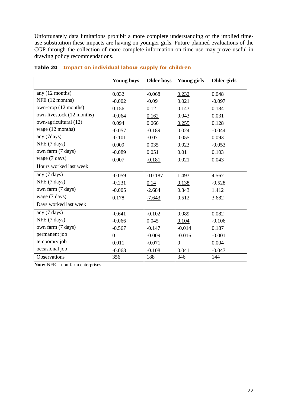Unfortunately data limitations prohibit a more complete understanding of the implied timeuse substitution these impacts are having on younger girls. Future planned evaluations of the CGP through the collection of more complete information on time use may prove useful in drawing policy recommendations.

|                           | <b>Young boys</b> | <b>Older boys</b> | Young girls | Older girls |
|---------------------------|-------------------|-------------------|-------------|-------------|
| any (12 months)           |                   |                   |             |             |
|                           | 0.032             | $-0.068$          | 0.232       | 0.048       |
| NFE (12 months)           | $-0.002$          | $-0.09$           | 0.021       | $-0.097$    |
| own-crop (12 months)      | 0.156             | 0.12              | 0.143       | 0.184       |
| own-livestock (12 months) | $-0.064$          | 0.162             | 0.043       | 0.031       |
| own-agricultural (12)     | 0.094             | 0.066             | 0.255       | 0.128       |
| wage (12 months)          | $-0.057$          | $-0.189$          | 0.024       | $-0.044$    |
| any (7days)               | $-0.101$          | $-0.07$           | 0.055       | 0.093       |
| NFE (7 days)              | 0.009             | 0.035             | 0.023       | $-0.053$    |
| own farm (7 days)         | $-0.089$          | 0.051             | 0.01        | 0.103       |
| wage (7 days)             | 0.007             | $-0.181$          | 0.021       | 0.043       |
| Hours worked last week    |                   |                   |             |             |
| any (7 days)              | $-0.059$          | $-10.187$         | 1.493       | 4.567       |
| NFE (7 days)              | $-0.231$          | 0.14              | 0.138       | $-0.528$    |
| own farm (7 days)         | $-0.005$          | $-2.684$          | 0.843       | 1.412       |
| wage (7 days)             | 0.178             | $-7.643$          | 0.512       | 3.682       |
| Days worked last week     |                   |                   |             |             |
| any (7 days)              | $-0.641$          | $-0.102$          | 0.089       | 0.082       |
| NFE (7 days)              | $-0.066$          | 0.045             | 0.104       | $-0.106$    |
| own farm (7 days)         | $-0.567$          | $-0.147$          | $-0.014$    | 0.187       |
| permanent job             | $\overline{0}$    | $-0.009$          | $-0.016$    | $-0.001$    |
| temporary job             | 0.011             | $-0.071$          | $\theta$    | 0.004       |
| occasional job            | $-0.068$          | $-0.108$          | 0.041       | $-0.047$    |
| Observations              | 356               | 188               | 346         | 144         |

#### **Table 20 Impact on individual labour supply for children**

**Note:** NFE = non-farm enterprises.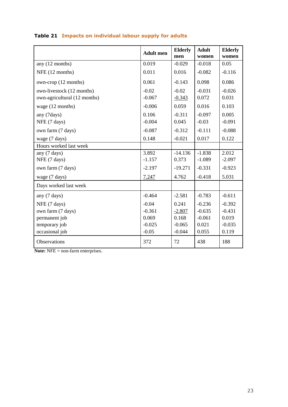|                              | <b>Adult</b> men | <b>Elderly</b><br>men | <b>Adult</b><br>women | <b>Elderly</b><br>women |
|------------------------------|------------------|-----------------------|-----------------------|-------------------------|
| any (12 months)              | 0.019            | $-0.029$              | $-0.018$              | 0.05                    |
| NFE (12 months)              | 0.011            | 0.016                 | $-0.082$              | $-0.116$                |
| own-crop (12 months)         | 0.061            | $-0.143$              | 0.098                 | 0.086                   |
| own-livestock (12 months)    | $-0.02$          | $-0.02$               | $-0.031$              | $-0.026$                |
| own-agricultural (12 months) | $-0.067$         | $-0.343$              | 0.072                 | 0.031                   |
| wage (12 months)             | $-0.006$         | 0.059                 | 0.016                 | 0.103                   |
| any (7days)                  | 0.106            | $-0.311$              | $-0.097$              | 0.005                   |
| NFE (7 days)                 | $-0.004$         | 0.045                 | $-0.03$               | $-0.091$                |
| own farm (7 days)            | $-0.087$         | $-0.312$              | $-0.111$              | $-0.088$                |
| wage (7 days)                | 0.148            | $-0.021$              | 0.017                 | 0.122                   |
| Hours worked last week       |                  |                       |                       |                         |
| any (7 days)                 | 3.892            | $-14.136$             | $-1.838$              | 2.012                   |
| NFE (7 days)                 | $-1.157$         | 0.373                 | $-1.089$              | $-2.097$                |
| own farm (7 days)            | $-2.197$         | $-19.271$             | $-0.331$              | $-0.923$                |
| wage (7 days)                | 7.247            | 4.762                 | $-0.418$              | 5.031                   |
| Days worked last week        |                  |                       |                       |                         |
| any (7 days)                 | $-0.464$         | $-2.581$              | $-0.783$              | $-0.611$                |
| NFE (7 days)                 | $-0.04$          | 0.241                 | $-0.236$              | $-0.392$                |
| own farm (7 days)            | $-0.361$         | $-2.807$              | $-0.635$              | $-0.431$                |
| permanent job                | 0.069            | 0.168                 | $-0.061$              | 0.019                   |
| temporary job                | $-0.025$         | $-0.065$              | 0.021                 | $-0.035$                |
| occasional job               | $-0.05$          | $-0.044$              | 0.055                 | 0.119                   |
| Observations                 | 372              | 72                    | 438                   | 188                     |

#### **Table 21 Impacts on individual labour supply for adults**

**Note:** NFE = non-farm enterprises.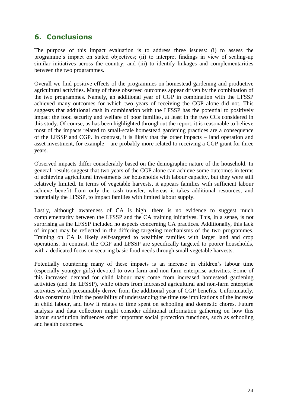## <span id="page-28-0"></span>**6. Conclusions**

The purpose of this impact evaluation is to address three issuess: (i) to assess the programme's impact on stated objectives; (ii) to interpret findings in view of scaling-up similar initiatives across the country; and (iii) to identify linkages and complementarities between the two programmes.

Overall we find positive effects of the programmes on homestead gardening and productive agricultural activities. Many of these observed outcomes appear driven by the combination of the two programmes. Namely, an additional year of CGP in combination with the LFSSP achieved many outcomes for which two years of receiving the CGP alone did not. This suggests that additional cash in combination with the LFSSP has the potential to positively impact the food security and welfare of poor families, at least in the two CCs considered in this study. Of course, as has been highlighted throughout the report, it is reasonable to believe most of the impacts related to small-scale homestead gardening practices are a consequence of the LFSSP and CGP. In contrast, it is likely that the other impacts – land operation and asset investment, for example – are probably more related to receiving a CGP grant for three years.

Observed impacts differ considerably based on the demographic nature of the household. In general, results suggest that two years of the CGP alone can achieve some outcomes in terms of achieving agricultural investments for households with labour capacity, but they were still relatively limited. In terms of vegetable harvests, it appears families with sufficient labour achieve benefit from only the cash transfer, whereas it takes additional resources, and potentially the LFSSP, to impact families with limited labour supply.

Lastly, although awareness of CA is high, there is no evidence to suggest much complementarity between the LFSSP and the CA training initiatives. This, in a sense, is not surprising as the LFSSP included no aspects concerning CA practices. Additionally, this lack of impact may be reflected in the differing targeting mechanisms of the two programmes. Training on CA is likely self-targeted to wealthier families with larger land and crop operations. In contrast, the CGP and LFSSP are specifically targeted to poorer households, with a dedicated focus on securing basic food needs through small vegetable harvests.

Potentially countering many of these impacts is an increase in children's labour time (especially younger girls) devoted to own-farm and non-farm enterprise activities. Some of this increased demand for child labour may come from increased homestead gardening activities (and the LFSSP), while others from increased agricultural and non-farm enterprise activities which presumably derive from the additional year of CGP benefits. Unfortunately, data constraints limit the possibility of understanding the time use implications of the increase in child labour, and how it relates to time spent on schooling and domestic chores. Future analysis and data collection might consider additional information gathering on how this labour substitution influences other important social protection functions, such as schooling and health outcomes.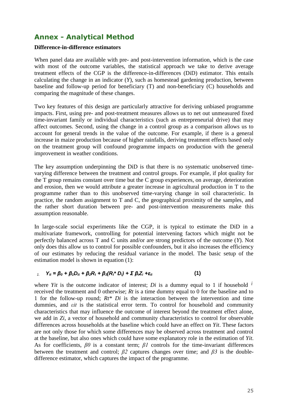## <span id="page-29-0"></span>**Annex - Analytical Method**

#### **Difference-in-difference estimators**

When panel data are available with pre- and post-intervention information, which is the case with most of the outcome variables, the statistical approach we take to derive average treatment effects of the CGP is the difference-in-differences (DiD) estimator. This entails calculating the change in an indicator (*Y*), such as homestead gardening production, between baseline and follow-up period for beneficiary (T) and non-beneficiary (C) households and comparing the magnitude of these changes.

Two key features of this design are particularly attractive for deriving unbiased programme impacts. First, using pre- and post-treatment measures allows us to net out unmeasured fixed time-invariant family or individual characteristics (such as entrepreneurial drive) that may affect outcomes. Second, using the change in a control group as a comparison allows us to account for general trends in the value of the outcome. For example, if there is a general increase in maize production because of higher rainfalls, deriving treatment effects based only on the treatment group will confound programme impacts on production with the general improvement in weather conditions.

The key assumption underpinning the DiD is that there is no systematic unobserved timevarying difference between the treatment and control groups. For example, if plot quality for the T group remains constant over time but the C group experiences, on average, deterioration and erosion, then we would attribute a greater increase in agricultural production in T to the programme rather than to this unobserved time-varying change in soil characteristic. In practice, the random assignment to T and C, the geographical proximity of the samples, and the rather short duration between pre- and post-intervention measurements make this assumption reasonable.

In large-scale social experiments like the CGP, it is typical to estimate the DiD in a multivariate framework, controlling for potential intervening factors which might not be perfectly balanced across T and C units and/or are strong predictors of the outcome (*Y*). Not only does this allow us to control for possible confounders, but it also increases the efficiency of our estimates by reducing the residual variance in the model. The basic setup of the estimation model is shown in equation (1):

#### $Y_{it} = \beta_0 + \beta_1 D_{it} + \beta_2 R_t + \beta_3 (R_t^* D_i) + \Sigma \beta_1 Z_i + \varepsilon_{it}$  (1)

where *Yit* is the outcome indicator of interest; *Di* is a dummy equal to 1 if household  $\hat{i}$ received the treatment and 0 otherwise; *Rt* is a time dummy equal to 0 for the baseline and to 1 for the follow-up round; *Rt\* Di* is the interaction between the intervention and time dummies, and *εit* is the statistical error term. To control for household and community characteristics that may influence the outcome of interest beyond the treatment effect alone, we add in *Zi*, a vector of household and community characteristics to control for observable differences across households at the baseline which could have an effect on *Yit*. These factors are not only those for which some differences may be observed across treatment and control at the baseline, but also ones which could have some explanatory role in the estimation of *Yit*. As for coefficients, *β0* is a constant term; *β1* controls for the time-invariant differences between the treatment and control;  $\beta$ 2 captures changes over time; and  $\beta$ 3 is the doubledifference estimator, which captures the impact of the programme.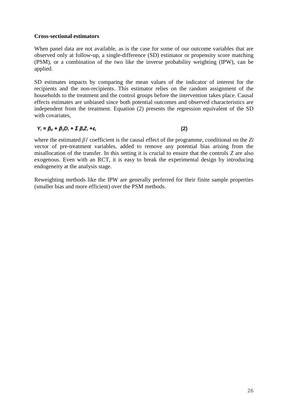#### **Cross-sectional estimators**

When panel data are not available, as is the case for some of our outcome variables that are observed only at follow-up, a single-difference (SD) estimator or propensity score matching (PSM), or a combination of the two like the inverse probability weighting (IPW), can be applied.

SD estimates impacts by comparing the mean values of the indicator of interest for the recipients and the non-recipients. This estimator relies on the random assignment of the households to the treatment and the control groups before the intervention takes place. Causal effects estimates are unbiased since both potential outcomes and observed characteristics are independent from the treatment. Equation (2) presents the regression equivalent of the SD with covariates,

#### $Y_i = \beta_0 + \beta_1 D_i + \sum \beta_i Z_i + \varepsilon_i$  (2)

where the estimated *β1* coefficient is the causal effect of the programme, conditional on the *Zi* vector of pre-treatment variables, added to remove any potential bias arising from the misallocation of the transfer. In this setting it is crucial to ensure that the controls *Z* are also exogenous. Even with an RCT, it is easy to break the experimental design by introducing endogeneity at the analysis stage.

Reweighting methods like the IPW are generally preferred for their finite sample properties (smaller bias and more efficient) over the PSM methods.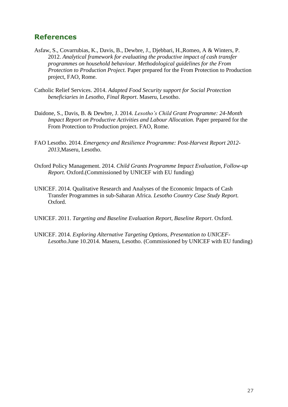#### <span id="page-31-0"></span>**References**

- Asfaw, S., Covarrubias, K., Davis, B., Dewbre, J., Djebbari, H.,Romeo, A & Winters, P. 2012. *Analytical framework for evaluating the productive impact of cash transfer programmes on household behaviour. Methodological guidelines for the From Protection to Production Project.* Paper prepared for the From Protection to Production project, FAO, Rome.
- Catholic Relief Services. 2014. *Adapted Food Security support for Social Protection beneficiaries in Lesotho, Final Report*. Maseru, Lesotho.
- Daidone, S., Davis, B. & Dewbre, J. 2014. *Lesotho's Child Grant Programme: 24-Month Impact Report on Productive Activities and Labour Allocation.* Paper prepared for the From Protection to Production project. FAO, Rome.
- FAO Lesotho. 2014. *Emergency and Resilience Programme: Post-Harvest Report 2012- 2013*,Maseru, Lesotho.
- Oxford Policy Management. 2014. *Child Grants Programme Impact Evaluation, Follow-up Report.* Oxford.(Commissioned by UNICEF with EU funding)
- UNICEF. 2014. Qualitative Research and Analyses of the Economic Impacts of Cash Transfer Programmes in sub-Saharan Africa. *Lesotho Country Case Study Report.* Oxford.
- UNICEF. 2011. *Targeting and Baseline Evaluation Report, Baseline Report*. Oxford.
- UNICEF. 2014. *Exploring Alternative Targeting Options, Presentation to UNICEF-Lesotho.*June 10.2014. Maseru, Lesotho. (Commissioned by UNICEF with EU funding)